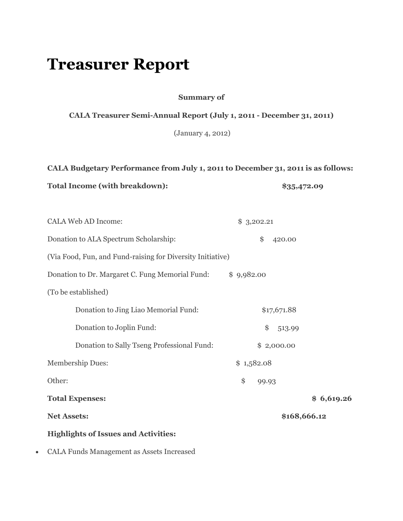## **Treasurer Report**

**Summary of**

## **CALA Treasurer Semi-Annual Report (July 1, 2011 - December 31, 2011)**

(January 4, 2012)

**CALA Budgetary Performance from July 1, 2011 to December 31, 2011 is as follows:**

Total Income (with breakdown):  $$35,472.09$ 

| <b>CALA Web AD Income:</b>                                 | \$3,202.21   |            |
|------------------------------------------------------------|--------------|------------|
| Donation to ALA Spectrum Scholarship:                      | \$<br>420.00 |            |
| (Via Food, Fun, and Fund-raising for Diversity Initiative) |              |            |
| Donation to Dr. Margaret C. Fung Memorial Fund:            | \$9,982.00   |            |
| (To be established)                                        |              |            |
| Donation to Jing Liao Memorial Fund:                       | \$17,671.88  |            |
| Donation to Joplin Fund:                                   | \$<br>513.99 |            |
| Donation to Sally Tseng Professional Fund:                 | \$2,000.00   |            |
| <b>Membership Dues:</b>                                    | \$1,582.08   |            |
| Other:                                                     | \$<br>99.93  |            |
| <b>Total Expenses:</b>                                     |              | \$6,619.26 |
| <b>Net Assets:</b>                                         | \$168,666.12 |            |
| <b>Highlights of Issues and Activities:</b>                |              |            |
|                                                            |              |            |

CALA Funds Management as Assets Increased